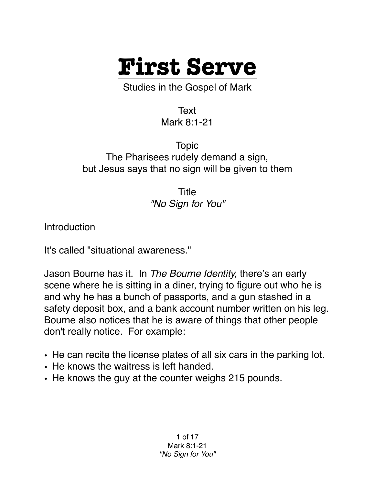

Studies in the Gospel of Mark

Text Mark 8:1-21

Topic The Pharisees rudely demand a sign, but Jesus says that no sign will be given to them

> Title *"No Sign for You"*

**Introduction** 

It's called "situational awareness."

Jason Bourne has it. In *The Bourne Identity,* there's an early scene where he is sitting in a diner, trying to figure out who he is and why he has a bunch of passports, and a gun stashed in a safety deposit box, and a bank account number written on his leg. Bourne also notices that he is aware of things that other people don't really notice. For example:

- He can recite the license plates of all six cars in the parking lot.
- He knows the waitress is left handed.
- He knows the guy at the counter weighs 215 pounds.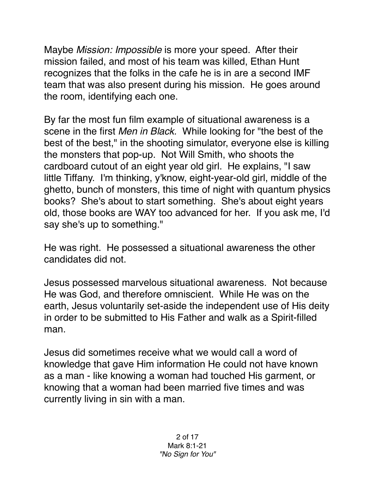Maybe *Mission: Impossible* is more your speed. After their mission failed, and most of his team was killed, Ethan Hunt recognizes that the folks in the cafe he is in are a second IMF team that was also present during his mission. He goes around the room, identifying each one.

By far the most fun film example of situational awareness is a scene in the first *Men in Black.* While looking for "the best of the best of the best," in the shooting simulator, everyone else is killing the monsters that pop-up. Not Will Smith, who shoots the cardboard cutout of an eight year old girl. He explains, "I saw little Tiffany. I'm thinking, y'know, eight-year-old girl, middle of the ghetto, bunch of monsters, this time of night with quantum physics books? She's about to start something. She's about eight years old, those books are WAY too advanced for her. If you ask me, I'd say she's up to something."

He was right. He possessed a situational awareness the other candidates did not.

Jesus possessed marvelous situational awareness. Not because He was God, and therefore omniscient. While He was on the earth, Jesus voluntarily set-aside the independent use of His deity in order to be submitted to His Father and walk as a Spirit-filled man.

Jesus did sometimes receive what we would call a word of knowledge that gave Him information He could not have known as a man - like knowing a woman had touched His garment, or knowing that a woman had been married five times and was currently living in sin with a man.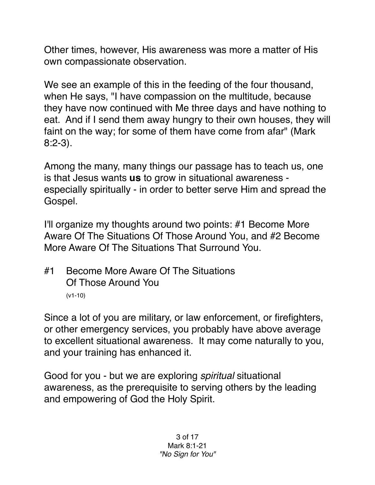Other times, however, His awareness was more a matter of His own compassionate observation.

We see an example of this in the feeding of the four thousand, when He says, "I have compassion on the multitude, because they have now continued with Me three days and have nothing to eat. And if I send them away hungry to their own houses, they will faint on the way; for some of them have come from afar" (Mark 8:2-3).

Among the many, many things our passage has to teach us, one is that Jesus wants **us** to grow in situational awareness especially spiritually - in order to better serve Him and spread the Gospel.

I'll organize my thoughts around two points: #1 Become More Aware Of The Situations Of Those Around You, and #2 Become More Aware Of The Situations That Surround You.

#1 Become More Aware Of The Situations Of Those Around You (v1-10)

Since a lot of you are military, or law enforcement, or firefighters, or other emergency services, you probably have above average to excellent situational awareness. It may come naturally to you, and your training has enhanced it.

Good for you - but we are exploring *spiritual* situational awareness, as the prerequisite to serving others by the leading and empowering of God the Holy Spirit.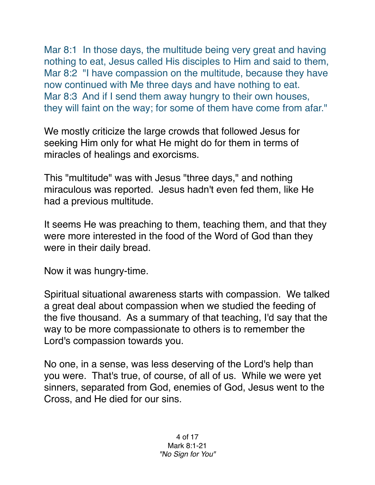Mar 8:1 In those days, the multitude being very great and having nothing to eat, Jesus called His disciples to Him and said to them, Mar 8:2 "I have compassion on the multitude, because they have now continued with Me three days and have nothing to eat. Mar 8:3 And if I send them away hungry to their own houses, they will faint on the way; for some of them have come from afar."

We mostly criticize the large crowds that followed Jesus for seeking Him only for what He might do for them in terms of miracles of healings and exorcisms.

This "multitude" was with Jesus "three days," and nothing miraculous was reported. Jesus hadn't even fed them, like He had a previous multitude.

It seems He was preaching to them, teaching them, and that they were more interested in the food of the Word of God than they were in their daily bread.

Now it was hungry-time.

Spiritual situational awareness starts with compassion. We talked a great deal about compassion when we studied the feeding of the five thousand. As a summary of that teaching, I'd say that the way to be more compassionate to others is to remember the Lord's compassion towards you.

No one, in a sense, was less deserving of the Lord's help than you were. That's true, of course, of all of us. While we were yet sinners, separated from God, enemies of God, Jesus went to the Cross, and He died for our sins.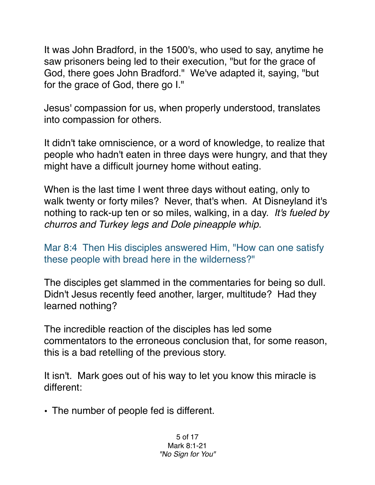It was John Bradford, in the 1500's, who used to say, anytime he saw prisoners being led to their execution, "but for the grace of God, there goes John Bradford." We've adapted it, saying, "but for the grace of God, there go I."

Jesus' compassion for us, when properly understood, translates into compassion for others.

It didn't take omniscience, or a word of knowledge, to realize that people who hadn't eaten in three days were hungry, and that they might have a difficult journey home without eating.

When is the last time I went three days without eating, only to walk twenty or forty miles? Never, that's when. At Disneyland it's nothing to rack-up ten or so miles, walking, in a day. *It's fueled by churros and Turkey legs and Dole pineapple whip.*

Mar 8:4 Then His disciples answered Him, "How can one satisfy these people with bread here in the wilderness?"

The disciples get slammed in the commentaries for being so dull. Didn't Jesus recently feed another, larger, multitude? Had they learned nothing?

The incredible reaction of the disciples has led some commentators to the erroneous conclusion that, for some reason, this is a bad retelling of the previous story.

It isn't. Mark goes out of his way to let you know this miracle is different:

• The number of people fed is different.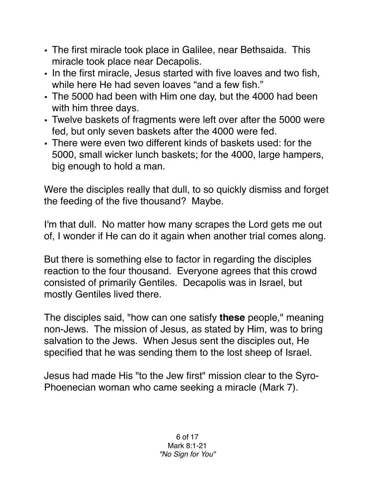- The first miracle took place in Galilee, near Bethsaida. This miracle took place near Decapolis.
- In the first miracle, Jesus started with five loaves and two fish, while here He had seven loaves "and a few fish."
- The 5000 had been with Him one day, but the 4000 had been with him three days.
- Twelve baskets of fragments were left over after the 5000 were fed, but only seven baskets after the 4000 were fed.
- There were even two different kinds of baskets used: for the 5000, small wicker lunch baskets; for the 4000, large hampers, big enough to hold a man.

Were the disciples really that dull, to so quickly dismiss and forget the feeding of the five thousand? Maybe.

I'm that dull. No matter how many scrapes the Lord gets me out of, I wonder if He can do it again when another trial comes along.

But there is something else to factor in regarding the disciples reaction to the four thousand. Everyone agrees that this crowd consisted of primarily Gentiles. Decapolis was in Israel, but mostly Gentiles lived there.

The disciples said, "how can one satisfy **these** people," meaning non-Jews. The mission of Jesus, as stated by Him, was to bring salvation to the Jews. When Jesus sent the disciples out, He specified that he was sending them to the lost sheep of Israel.

Jesus had made His "to the Jew first" mission clear to the Syro-Phoenecian woman who came seeking a miracle (Mark 7).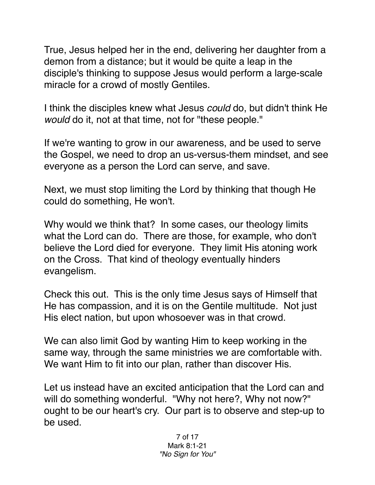True, Jesus helped her in the end, delivering her daughter from a demon from a distance; but it would be quite a leap in the disciple's thinking to suppose Jesus would perform a large-scale miracle for a crowd of mostly Gentiles.

I think the disciples knew what Jesus *could* do, but didn't think He *would* do it, not at that time, not for "these people."

If we're wanting to grow in our awareness, and be used to serve the Gospel, we need to drop an us-versus-them mindset, and see everyone as a person the Lord can serve, and save.

Next, we must stop limiting the Lord by thinking that though He could do something, He won't.

Why would we think that? In some cases, our theology limits what the Lord can do. There are those, for example, who don't believe the Lord died for everyone. They limit His atoning work on the Cross. That kind of theology eventually hinders evangelism.

Check this out. This is the only time Jesus says of Himself that He has compassion, and it is on the Gentile multitude. Not just His elect nation, but upon whosoever was in that crowd.

We can also limit God by wanting Him to keep working in the same way, through the same ministries we are comfortable with. We want Him to fit into our plan, rather than discover His.

Let us instead have an excited anticipation that the Lord can and will do something wonderful. "Why not here?, Why not now?" ought to be our heart's cry. Our part is to observe and step-up to be used.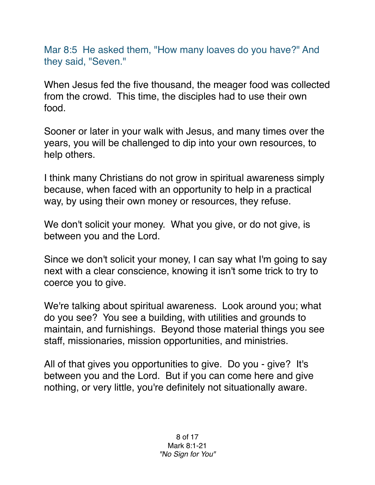Mar 8:5 He asked them, "How many loaves do you have?" And they said, "Seven."

When Jesus fed the five thousand, the meager food was collected from the crowd. This time, the disciples had to use their own food.

Sooner or later in your walk with Jesus, and many times over the years, you will be challenged to dip into your own resources, to help others.

I think many Christians do not grow in spiritual awareness simply because, when faced with an opportunity to help in a practical way, by using their own money or resources, they refuse.

We don't solicit your money. What you give, or do not give, is between you and the Lord.

Since we don't solicit your money, I can say what I'm going to say next with a clear conscience, knowing it isn't some trick to try to coerce you to give.

We're talking about spiritual awareness. Look around you; what do you see? You see a building, with utilities and grounds to maintain, and furnishings. Beyond those material things you see staff, missionaries, mission opportunities, and ministries.

All of that gives you opportunities to give. Do you - give? It's between you and the Lord. But if you can come here and give nothing, or very little, you're definitely not situationally aware.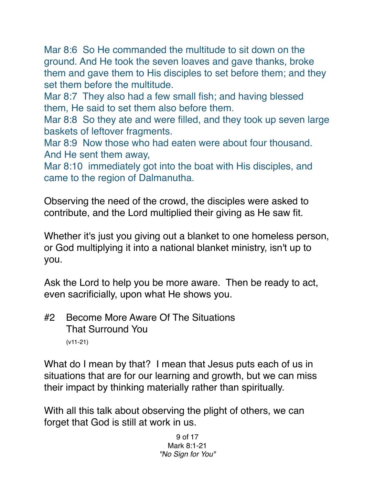Mar 8:6 So He commanded the multitude to sit down on the ground. And He took the seven loaves and gave thanks, broke them and gave them to His disciples to set before them; and they set them before the multitude.

Mar 8:7 They also had a few small fish; and having blessed them, He said to set them also before them.

Mar 8:8 So they ate and were filled, and they took up seven large baskets of leftover fragments.

Mar 8:9 Now those who had eaten were about four thousand. And He sent them away,

Mar 8:10 immediately got into the boat with His disciples, and came to the region of Dalmanutha.

Observing the need of the crowd, the disciples were asked to contribute, and the Lord multiplied their giving as He saw fit.

Whether it's just you giving out a blanket to one homeless person, or God multiplying it into a national blanket ministry, isn't up to you.

Ask the Lord to help you be more aware. Then be ready to act, even sacrificially, upon what He shows you.

#2 Become More Aware Of The Situations That Surround You (v11-21)

What do I mean by that? I mean that Jesus puts each of us in situations that are for our learning and growth, but we can miss their impact by thinking materially rather than spiritually.

With all this talk about observing the plight of others, we can forget that God is still at work in us.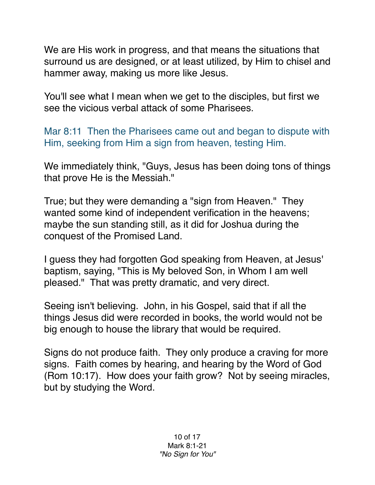We are His work in progress, and that means the situations that surround us are designed, or at least utilized, by Him to chisel and hammer away, making us more like Jesus.

You'll see what I mean when we get to the disciples, but first we see the vicious verbal attack of some Pharisees.

Mar 8:11 Then the Pharisees came out and began to dispute with Him, seeking from Him a sign from heaven, testing Him.

We immediately think, "Guys, Jesus has been doing tons of things that prove He is the Messiah."

True; but they were demanding a "sign from Heaven." They wanted some kind of independent verification in the heavens; maybe the sun standing still, as it did for Joshua during the conquest of the Promised Land.

I guess they had forgotten God speaking from Heaven, at Jesus' baptism, saying, "This is My beloved Son, in Whom I am well pleased." That was pretty dramatic, and very direct.

Seeing isn't believing. John, in his Gospel, said that if all the things Jesus did were recorded in books, the world would not be big enough to house the library that would be required.

Signs do not produce faith. They only produce a craving for more signs. Faith comes by hearing, and hearing by the Word of God (Rom 10:17). How does your faith grow? Not by seeing miracles, but by studying the Word.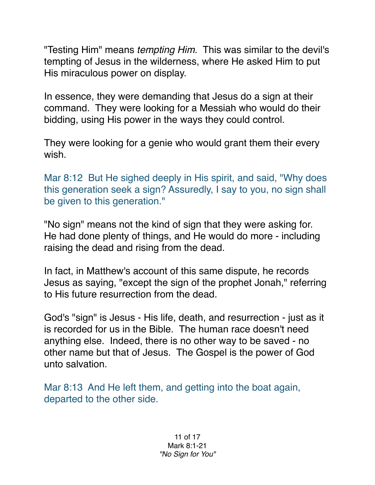"Testing Him" means *tempting Him*. This was similar to the devil's tempting of Jesus in the wilderness, where He asked Him to put His miraculous power on display.

In essence, they were demanding that Jesus do a sign at their command. They were looking for a Messiah who would do their bidding, using His power in the ways they could control.

They were looking for a genie who would grant them their every wish.

Mar 8:12 But He sighed deeply in His spirit, and said, "Why does this generation seek a sign? Assuredly, I say to you, no sign shall be given to this generation."

"No sign" means not the kind of sign that they were asking for. He had done plenty of things, and He would do more - including raising the dead and rising from the dead.

In fact, in Matthew's account of this same dispute, he records Jesus as saying, "except the sign of the prophet Jonah," referring to His future resurrection from the dead.

God's "sign" is Jesus - His life, death, and resurrection - just as it is recorded for us in the Bible. The human race doesn't need anything else. Indeed, there is no other way to be saved - no other name but that of Jesus. The Gospel is the power of God unto salvation.

Mar 8:13 And He left them, and getting into the boat again, departed to the other side.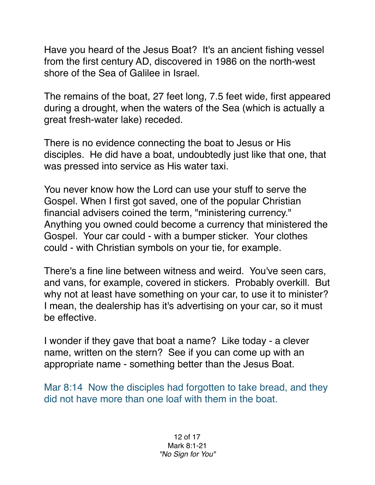Have you heard of the Jesus Boat? It's an ancient fishing vessel from the first century AD, discovered in 1986 on the north-west shore of the Sea of Galilee in Israel.

The remains of the boat, 27 feet long, 7.5 feet wide, first appeared during a drought, when the waters of the Sea (which is actually a great fresh-water lake) receded.

There is no evidence connecting the boat to Jesus or His disciples. He did have a boat, undoubtedly just like that one, that was pressed into service as His water taxi.

You never know how the Lord can use your stuff to serve the Gospel. When I first got saved, one of the popular Christian financial advisers coined the term, "ministering currency." Anything you owned could become a currency that ministered the Gospel. Your car could - with a bumper sticker. Your clothes could - with Christian symbols on your tie, for example.

There's a fine line between witness and weird. You've seen cars, and vans, for example, covered in stickers. Probably overkill. But why not at least have something on your car, to use it to minister? I mean, the dealership has it's advertising on your car, so it must be effective.

I wonder if they gave that boat a name? Like today - a clever name, written on the stern? See if you can come up with an appropriate name - something better than the Jesus Boat.

Mar 8:14 Now the disciples had forgotten to take bread, and they did not have more than one loaf with them in the boat.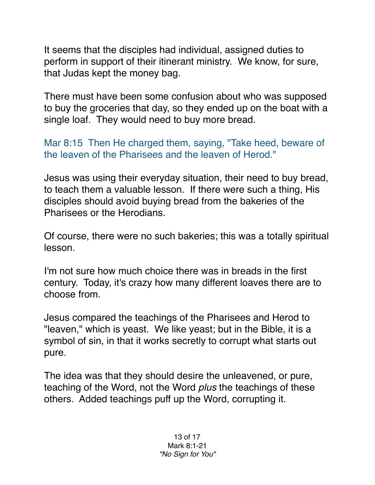It seems that the disciples had individual, assigned duties to perform in support of their itinerant ministry. We know, for sure, that Judas kept the money bag.

There must have been some confusion about who was supposed to buy the groceries that day, so they ended up on the boat with a single loaf. They would need to buy more bread.

Mar 8:15 Then He charged them, saying, "Take heed, beware of the leaven of the Pharisees and the leaven of Herod."

Jesus was using their everyday situation, their need to buy bread, to teach them a valuable lesson. If there were such a thing, His disciples should avoid buying bread from the bakeries of the Pharisees or the Herodians.

Of course, there were no such bakeries; this was a totally spiritual lesson.

I'm not sure how much choice there was in breads in the first century. Today, it's crazy how many different loaves there are to choose from.

Jesus compared the teachings of the Pharisees and Herod to "leaven," which is yeast. We like yeast; but in the Bible, it is a symbol of sin, in that it works secretly to corrupt what starts out pure.

The idea was that they should desire the unleavened, or pure, teaching of the Word, not the Word *plus* the teachings of these others. Added teachings puff up the Word, corrupting it.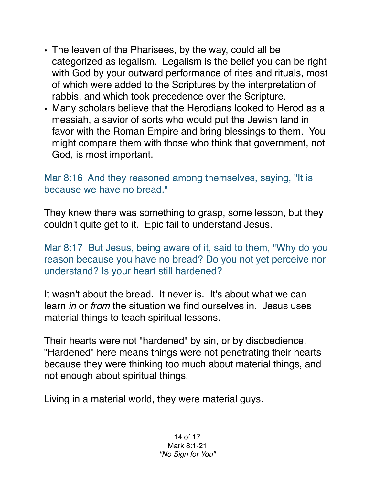- The leaven of the Pharisees, by the way, could all be categorized as legalism. Legalism is the belief you can be right with God by your outward performance of rites and rituals, most of which were added to the Scriptures by the interpretation of rabbis, and which took precedence over the Scripture.
- Many scholars believe that the Herodians looked to Herod as a messiah, a savior of sorts who would put the Jewish land in favor with the Roman Empire and bring blessings to them. You might compare them with those who think that government, not God, is most important.

Mar 8:16 And they reasoned among themselves, saying, "It is because we have no bread."

They knew there was something to grasp, some lesson, but they couldn't quite get to it. Epic fail to understand Jesus.

Mar 8:17 But Jesus, being aware of it, said to them, "Why do you reason because you have no bread? Do you not yet perceive nor understand? Is your heart still hardened?

It wasn't about the bread. It never is. It's about what we can learn *in* or *from* the situation we find ourselves in. Jesus uses material things to teach spiritual lessons.

Their hearts were not "hardened" by sin, or by disobedience. "Hardened" here means things were not penetrating their hearts because they were thinking too much about material things, and not enough about spiritual things.

Living in a material world, they were material guys.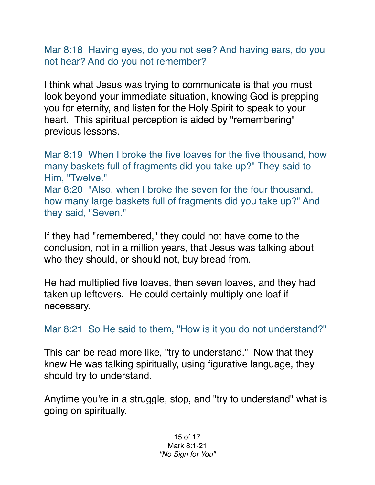Mar 8:18 Having eyes, do you not see? And having ears, do you not hear? And do you not remember?

I think what Jesus was trying to communicate is that you must look beyond your immediate situation, knowing God is prepping you for eternity, and listen for the Holy Spirit to speak to your heart. This spiritual perception is aided by "remembering" previous lessons.

Mar 8:19 When I broke the five loaves for the five thousand, how many baskets full of fragments did you take up?" They said to Him, "Twelve." Mar 8:20 "Also, when I broke the seven for the four thousand, how many large baskets full of fragments did you take up?" And

they said, "Seven."

If they had "remembered," they could not have come to the conclusion, not in a million years, that Jesus was talking about who they should, or should not, buy bread from.

He had multiplied five loaves, then seven loaves, and they had taken up leftovers. He could certainly multiply one loaf if necessary.

Mar 8:21 So He said to them, "How is it you do not understand?"

This can be read more like, "try to understand." Now that they knew He was talking spiritually, using figurative language, they should try to understand.

Anytime you're in a struggle, stop, and "try to understand" what is going on spiritually.